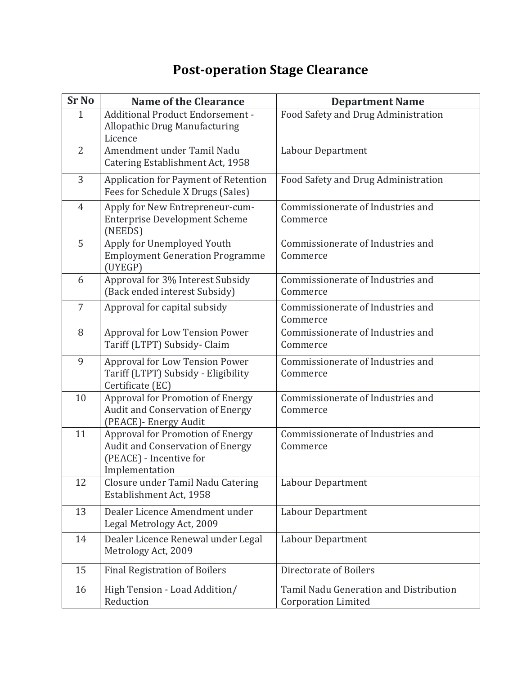## **Post-operation Stage Clearance**

| <b>Sr No</b>   | <b>Name of the Clearance</b>                                                                                      | <b>Department Name</b>                                               |
|----------------|-------------------------------------------------------------------------------------------------------------------|----------------------------------------------------------------------|
| $\mathbf{1}$   | <b>Additional Product Endorsement -</b><br><b>Allopathic Drug Manufacturing</b><br>Licence                        | Food Safety and Drug Administration                                  |
| $\overline{2}$ | Amendment under Tamil Nadu<br>Catering Establishment Act, 1958                                                    | Labour Department                                                    |
| 3              | Application for Payment of Retention<br>Fees for Schedule X Drugs (Sales)                                         | Food Safety and Drug Administration                                  |
| $\overline{4}$ | Apply for New Entrepreneur-cum-<br><b>Enterprise Development Scheme</b><br>(NEEDS)                                | Commissionerate of Industries and<br>Commerce                        |
| 5              | Apply for Unemployed Youth<br><b>Employment Generation Programme</b><br>(UYEGP)                                   | Commissionerate of Industries and<br>Commerce                        |
| 6              | Approval for 3% Interest Subsidy<br>(Back ended interest Subsidy)                                                 | Commissionerate of Industries and<br>Commerce                        |
| 7              | Approval for capital subsidy                                                                                      | Commissionerate of Industries and<br>Commerce                        |
| 8              | Approval for Low Tension Power<br>Tariff (LTPT) Subsidy- Claim                                                    | Commissionerate of Industries and<br>Commerce                        |
| 9              | Approval for Low Tension Power<br>Tariff (LTPT) Subsidy - Eligibility<br>Certificate (EC)                         | Commissionerate of Industries and<br>Commerce                        |
| 10             | Approval for Promotion of Energy<br>Audit and Conservation of Energy<br>(PEACE)- Energy Audit                     | Commissionerate of Industries and<br>Commerce                        |
| 11             | Approval for Promotion of Energy<br>Audit and Conservation of Energy<br>(PEACE) - Incentive for<br>Implementation | Commissionerate of Industries and<br>Commerce                        |
| 12             | Closure under Tamil Nadu Catering<br>Establishment Act, 1958                                                      | Labour Department                                                    |
| 13             | Dealer Licence Amendment under<br>Legal Metrology Act, 2009                                                       | Labour Department                                                    |
| 14             | Dealer Licence Renewal under Legal<br>Metrology Act, 2009                                                         | Labour Department                                                    |
| 15             | <b>Final Registration of Boilers</b>                                                                              | Directorate of Boilers                                               |
| 16             | High Tension - Load Addition/<br>Reduction                                                                        | Tamil Nadu Generation and Distribution<br><b>Corporation Limited</b> |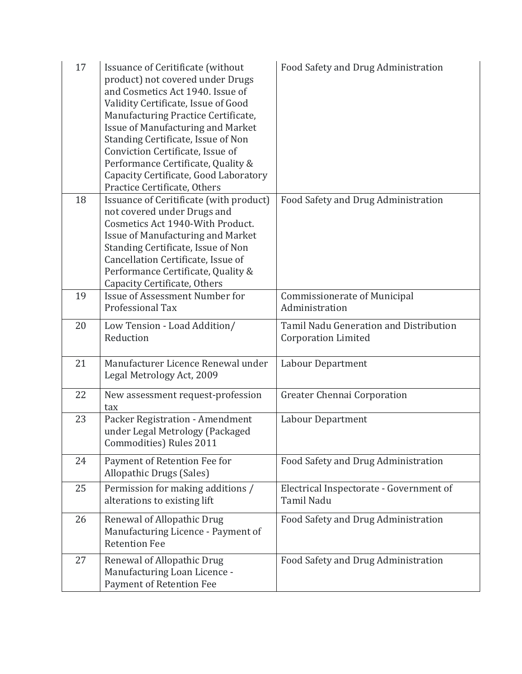| 17 | Issuance of Ceritificate (without<br>product) not covered under Drugs<br>and Cosmetics Act 1940. Issue of<br>Validity Certificate, Issue of Good<br>Manufacturing Practice Certificate,<br><b>Issue of Manufacturing and Market</b><br>Standing Certificate, Issue of Non<br>Conviction Certificate, Issue of<br>Performance Certificate, Quality &<br>Capacity Certificate, Good Laboratory<br>Practice Certificate, Others | Food Safety and Drug Administration                                  |
|----|------------------------------------------------------------------------------------------------------------------------------------------------------------------------------------------------------------------------------------------------------------------------------------------------------------------------------------------------------------------------------------------------------------------------------|----------------------------------------------------------------------|
| 18 | Issuance of Ceritificate (with product)<br>not covered under Drugs and<br>Cosmetics Act 1940-With Product.<br><b>Issue of Manufacturing and Market</b><br>Standing Certificate, Issue of Non<br>Cancellation Certificate, Issue of<br>Performance Certificate, Quality &<br>Capacity Certificate, Others                                                                                                                     | Food Safety and Drug Administration                                  |
| 19 | Issue of Assessment Number for<br>Professional Tax                                                                                                                                                                                                                                                                                                                                                                           | <b>Commissionerate of Municipal</b><br>Administration                |
| 20 | Low Tension - Load Addition/<br>Reduction                                                                                                                                                                                                                                                                                                                                                                                    | Tamil Nadu Generation and Distribution<br><b>Corporation Limited</b> |
| 21 | Manufacturer Licence Renewal under<br>Legal Metrology Act, 2009                                                                                                                                                                                                                                                                                                                                                              | <b>Labour Department</b>                                             |
| 22 | New assessment request-profession<br>tax                                                                                                                                                                                                                                                                                                                                                                                     | Greater Chennai Corporation                                          |
| 23 | Packer Registration - Amendment<br>under Legal Metrology (Packaged<br>Commodities) Rules 2011                                                                                                                                                                                                                                                                                                                                | Labour Department                                                    |
| 24 | Payment of Retention Fee for<br>Allopathic Drugs (Sales)                                                                                                                                                                                                                                                                                                                                                                     | Food Safety and Drug Administration                                  |
| 25 | Permission for making additions /<br>alterations to existing lift                                                                                                                                                                                                                                                                                                                                                            | Electrical Inspectorate - Government of<br>Tamil Nadu                |
| 26 | Renewal of Allopathic Drug<br>Manufacturing Licence - Payment of<br><b>Retention Fee</b>                                                                                                                                                                                                                                                                                                                                     | Food Safety and Drug Administration                                  |
| 27 | Renewal of Allopathic Drug<br>Manufacturing Loan Licence -<br>Payment of Retention Fee                                                                                                                                                                                                                                                                                                                                       | Food Safety and Drug Administration                                  |